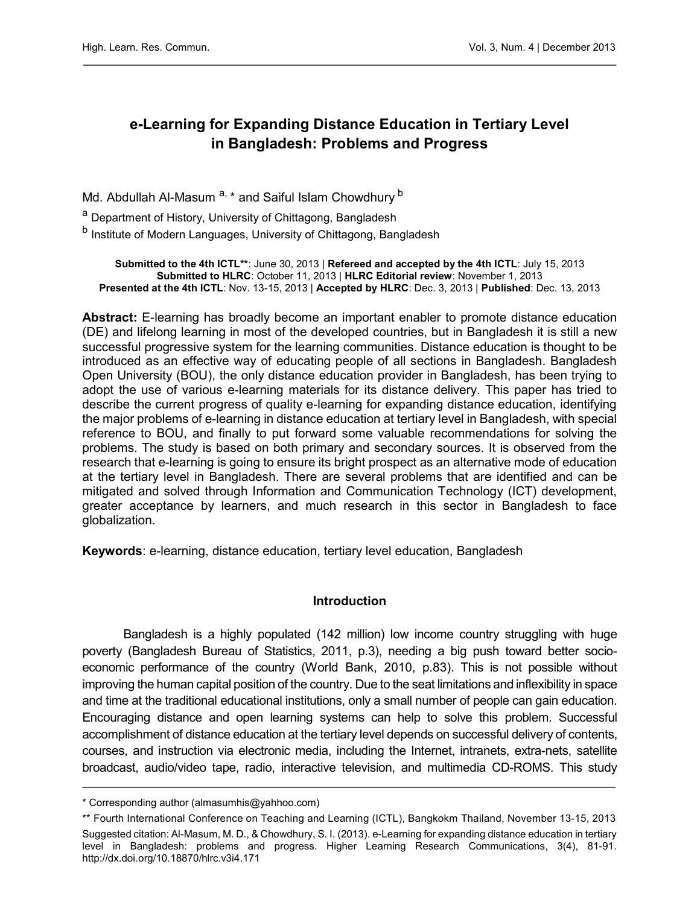# e-Learning for Expanding Distance Education in Tertiary Level in Bangladesh: Problems and Progress

Md. Abdullah Al-Masum<sup>a, \*</sup> and Saiful Islam Chowdhury<sup>b</sup>

<sup>a</sup> Department of History, University of Chittagong, Bangladesh

<sup>b</sup> Institute of Modern Languages, University of Chittagong, Bangladesh

Submitted to the 4th ICTL\*\*: June 30, 2013 | Refereed and accepted by the 4th ICTL: July 15, 2013 Submitted to HLRC: October 11, 2013 | HLRC Editorial review: November 1, 2013 Presented at the 4th ICTL: Nov. 13-15, 2013 | Accepted by HLRC: Dec. 3, 2013 | Published: Dec. 13, 2013

Abstract: E-learning has broadly become an important enabler to promote distance education (DE) and lifelong learning in most of the developed countries, but in Bangladesh it is still a new successful progressive system for the learning communities. Distance education is thought to be introduced as an effective way of educating people of all sections in Bangladesh. Bangladesh Open University (BOU), the only distance education provider in Bangladesh, has been trying to adopt the use of various e-learning materials for its distance delivery. This paper has tried to describe the current progress of quality e-learning for expanding distance education, identifying the major problems of e-learning in distance education at tertiary level in Bangladesh, with special reference to BOU, and finally to put forward some valuable recommendations for solving the problems. The study is based on both primary and secondary sources. It is observed from the research that e-learning is going to ensure its bright prospect as an alternative mode of education at the tertiary level in Bangladesh. There are several problems that are identified and can be mitigated and solved through Information and Communication Technology (ICT) development, greater acceptance by learners, and much research in this sector in Bangladesh to face globalization.

Keywords: e-learning, distance education, tertiary level education, Bangladesh

### **Introduction**

Bangladesh is a highly populated (142 million) low income country struggling with huge poverty (Bangladesh Bureau of Statistics, 2011, p.3), needing a big push toward better socioeconomic performance of the country (World Bank, 2010, p.83). This is not possible without improving the human capital position of the country. Due to the seat limitations and inflexibility in space and time at the traditional educational institutions, only a small number of people can gain education. Encouraging distance and open learning systems can help to solve this problem. Successful accomplishment of distance education at the tertiary level depends on successful delivery of contents, courses, and instruction via electronic media, including the Internet, intranets, extra-nets, satellite broadcast, audio/video tape, radio, interactive television, and multimedia CD-ROMS. This study

<sup>\*</sup> Corresponding author (almasumhis@yahhoo.com)

<sup>\*\*</sup> Fourth International Conference on Teaching and Learning (ICTL), Bangkokm Thailand, November 13-15, 2013 Suggested citation: Al-Masum, M. D., & Chowdhury, S. I. (2013). e-Learning for expanding distance education in tertiary level in Bangladesh: problems and progress. Higher Learning Research Communications, 3(4), 81-91. <http://dx.doi.org/10.18870/hlrc.v3i4.171>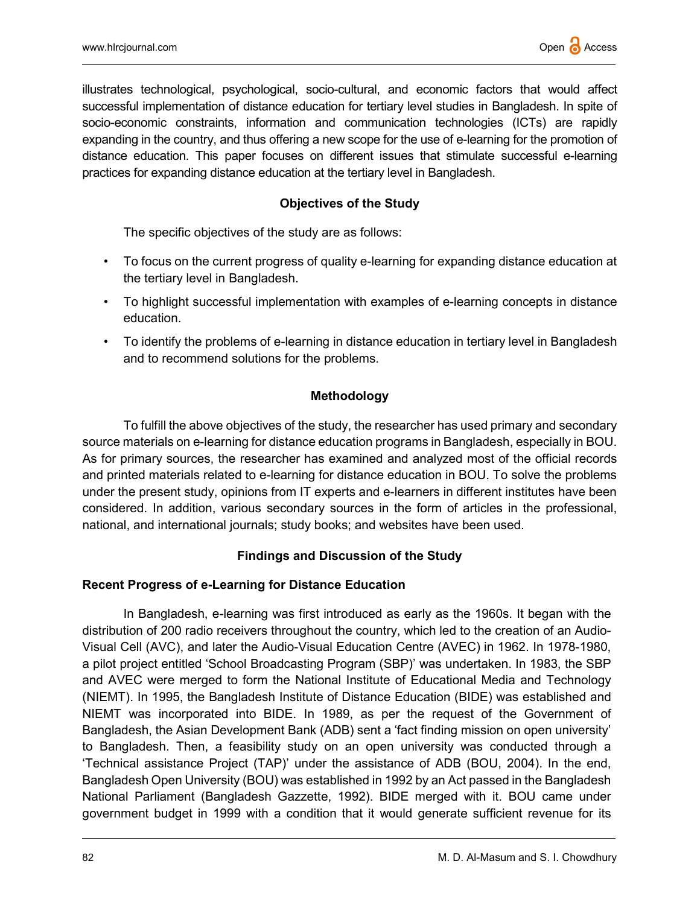illustrates technological, psychological, socio-cultural, and economic factors that would affect successful implementation of distance education for tertiary level studies in Bangladesh. In spite of socio-economic constraints, information and communication technologies (ICTs) are rapidly expanding in the country, and thus offering a new scope for the use of e-learning for the promotion of distance education. This paper focuses on different issues that stimulate successful e-learning practices for expanding distance education at the tertiary level in Bangladesh.

## Objectives of the Study

The specific objectives of the study are as follows:

- To focus on the current progress of quality e-learning for expanding distance education at the tertiary level in Bangladesh.
- To highlight successful implementation with examples of e-learning concepts in distance education.
- To identify the problems of e-learning in distance education in tertiary level in Bangladesh and to recommend solutions for the problems.

## Methodology

To fulfill the above objectives of the study, the researcher has used primary and secondary source materials on e-learning for distance education programs in Bangladesh, especially in BOU. As for primary sources, the researcher has examined and analyzed most of the official records and printed materials related to e-learning for distance education in BOU. To solve the problems under the present study, opinions from IT experts and e-learners in different institutes have been considered. In addition, various secondary sources in the form of articles in the professional, national, and international journals; study books; and websites have been used.

## Findings and Discussion of the Study

## Recent Progress of e-Learning for Distance Education

In Bangladesh, e-learning was first introduced as early as the 1960s. It began with the distribution of 200 radio receivers throughout the country, which led to the creation of an Audio-Visual Cell (AVC), and later the Audio-Visual Education Centre (AVEC) in 1962. In 1978-1980, a pilot project entitled 'School Broadcasting Program (SBP)' was undertaken. In 1983, the SBP and AVEC were merged to form the National Institute of Educational Media and Technology (NIEMT). In 1995, the Bangladesh Institute of Distance Education (BIDE) was established and NIEMT was incorporated into BIDE. In 1989, as per the request of the Government of Bangladesh, the Asian Development Bank (ADB) sent a 'fact finding mission on open university' to Bangladesh. Then, a feasibility study on an open university was conducted through a 'Technical assistance Project (TAP)' under the assistance of ADB (BOU, 2004). In the end, Bangladesh Open University (BOU) was established in 1992 by an Act passed in the Bangladesh National Parliament (Bangladesh Gazzette, 1992). BIDE merged with it. BOU came under government budget in 1999 with a condition that it would generate sufficient revenue for its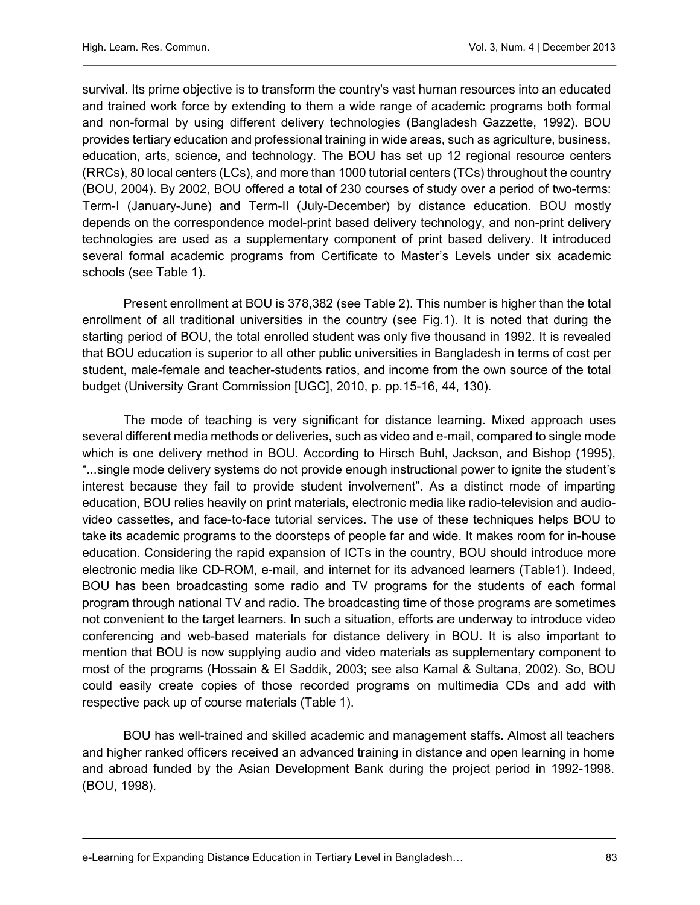survival. Its prime objective is to transform the country's vast human resources into an educated and trained work force by extending to them a wide range of academic programs both formal and non-formal by using different delivery technologies (Bangladesh Gazzette, 1992). BOU provides tertiary education and professional training in wide areas, such as agriculture, business, education, arts, science, and technology. The BOU has set up 12 regional resource centers (RRCs), 80 local centers (LCs), and more than 1000 tutorial centers (TCs) throughout the country (BOU, 2004). By 2002, BOU offered a total of 230 courses of study over a period of two-terms: Term-I (January-June) and Term-II (July-December) by distance education. BOU mostly depends on the correspondence model-print based delivery technology, and non-print delivery technologies are used as a supplementary component of print based delivery. It introduced several formal academic programs from Certificate to Master's Levels under six academic schools (see Table 1).

Present enrollment at BOU is 378,382 (see Table 2). This number is higher than the total enrollment of all traditional universities in the country (see Fig.1). It is noted that during the starting period of BOU, the total enrolled student was only five thousand in 1992. It is revealed that BOU education is superior to all other public universities in Bangladesh in terms of cost per student, male-female and teacher-students ratios, and income from the own source of the total budget (University Grant Commission [UGC], 2010, p. pp.15-16, 44, 130).

The mode of teaching is very significant for distance learning. Mixed approach uses several different media methods or deliveries, such as video and e-mail, compared to single mode which is one delivery method in BOU. According to Hirsch Buhl, Jackson, and Bishop (1995), "...single mode delivery systems do not provide enough instructional power to ignite the student's interest because they fail to provide student involvement". As a distinct mode of imparting education, BOU relies heavily on print materials, electronic media like radio-television and audiovideo cassettes, and face-to-face tutorial services. The use of these techniques helps BOU to take its academic programs to the doorsteps of people far and wide. It makes room for in-house education. Considering the rapid expansion of ICTs in the country, BOU should introduce more electronic media like CD-ROM, e-mail, and internet for its advanced learners (Table1). Indeed, BOU has been broadcasting some radio and TV programs for the students of each formal program through national TV and radio. The broadcasting time of those programs are sometimes not convenient to the target learners. In such a situation, efforts are underway to introduce video conferencing and web-based materials for distance delivery in BOU. It is also important to mention that BOU is now supplying audio and video materials as supplementary component to most of the programs (Hossain & EI Saddik, 2003; see also Kamal & Sultana, 2002). So, BOU could easily create copies of those recorded programs on multimedia CDs and add with respective pack up of course materials (Table 1).

BOU has well-trained and skilled academic and management staffs. Almost all teachers and higher ranked officers received an advanced training in distance and open learning in home and abroad funded by the Asian Development Bank during the project period in 1992-1998. (BOU, 1998).

e-Learning for Expanding Distance Education in Tertiary Level in Bangladesh… 83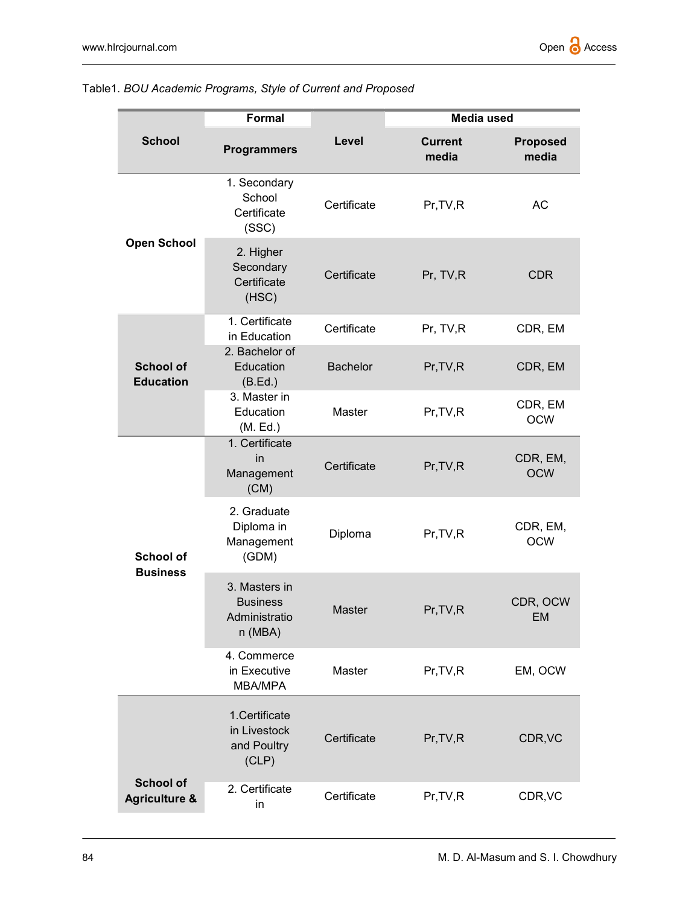|                                              | Formal                                                       |                 | Media used              |                          |
|----------------------------------------------|--------------------------------------------------------------|-----------------|-------------------------|--------------------------|
| <b>School</b>                                | <b>Programmers</b>                                           | Level           | <b>Current</b><br>media | <b>Proposed</b><br>media |
| <b>Open School</b>                           | 1. Secondary<br>School<br>Certificate<br>(SSC)               | Certificate     | Pr, TV, R               | <b>AC</b>                |
|                                              | 2. Higher<br>Secondary<br>Certificate<br>(HSC)               | Certificate     | Pr, TV,R                | <b>CDR</b>               |
| <b>School of</b><br><b>Education</b>         | 1. Certificate<br>in Education                               | Certificate     | Pr, TV,R                | CDR, EM                  |
|                                              | 2. Bachelor of<br>Education<br>(B.Ed.)                       | <b>Bachelor</b> | Pr, TV, R               | CDR, EM                  |
|                                              | 3. Master in<br>Education<br>(M. Ed.)                        | Master          | Pr, TV, R               | CDR, EM<br><b>OCW</b>    |
| <b>School of</b><br><b>Business</b>          | 1. Certificate<br>in<br>Management<br>(CM)                   | Certificate     | Pr, TV, R               | CDR, EM,<br><b>OCW</b>   |
|                                              | 2. Graduate<br>Diploma in<br>Management<br>(GDM)             | Diploma         | Pr, TV, R               | CDR, EM,<br><b>OCW</b>   |
|                                              | 3. Masters in<br><b>Business</b><br>Administratio<br>n (MBA) | Master          | Pr, TV, R               | CDR, OCW<br>EM           |
|                                              | 4. Commerce<br>in Executive<br>MBA/MPA                       | Master          | Pr, TV, R               | EM, OCW                  |
|                                              | 1.Certificate<br>in Livestock<br>and Poultry<br>(CLP)        | Certificate     | Pr, TV, R               | CDR, VC                  |
| <b>School of</b><br><b>Agriculture &amp;</b> | 2. Certificate<br>in                                         | Certificate     | Pr, TV, R               | CDR, VC                  |

### Table1. BOU Academic Programs, Style of Current and Proposed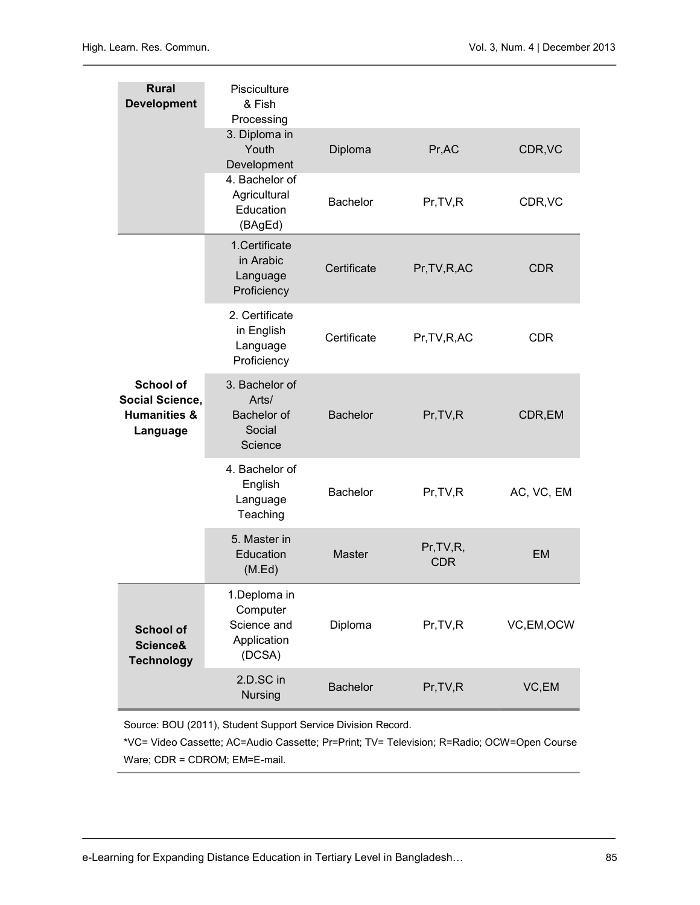| <b>Rural</b><br><b>Development</b>                                         | Pisciculture<br>& Fish<br>Processing                             |                 |                          |            |
|----------------------------------------------------------------------------|------------------------------------------------------------------|-----------------|--------------------------|------------|
|                                                                            | 3. Diploma in<br>Youth<br>Development                            | Diploma         | Pr, AC                   | CDR, VC    |
|                                                                            | 4. Bachelor of<br>Agricultural<br>Education<br>(BAgEd)           | <b>Bachelor</b> | Pr, TV, R                | CDR, VC    |
| <b>School of</b><br>Social Science,<br><b>Humanities &amp;</b><br>Language | 1.Certificate<br>in Arabic<br>Language<br>Proficiency            | Certificate     | Pr, TV, R, AC            | <b>CDR</b> |
|                                                                            | 2. Certificate<br>in English<br>Language<br>Proficiency          | Certificate     | Pr, TV, R, AC            | <b>CDR</b> |
|                                                                            | 3. Bachelor of<br>Arts/<br>Bachelor of<br>Social<br>Science      | <b>Bachelor</b> | Pr, TV, R                | CDR,EM     |
|                                                                            | 4. Bachelor of<br>English<br>Language<br>Teaching                | <b>Bachelor</b> | Pr, TV, R                | AC, VC, EM |
|                                                                            | 5. Master in<br>Education<br>(M.Ed)                              | <b>Master</b>   | Pr, TV, R,<br><b>CDR</b> | <b>EM</b>  |
| <b>School of</b><br>Science&<br><b>Technology</b>                          | 1.Deploma in<br>Computer<br>Science and<br>Application<br>(DCSA) | Diploma         | Pr, TV, R                | VC,EM,OCW  |
|                                                                            | 2.D.SC in<br><b>Nursing</b>                                      | <b>Bachelor</b> | Pr, TV, R                | VC,EM      |

Source: BOU (2011), Student Support Service Division Record.

\*VC= Video Cassette; AC=Audio Cassette; Pr=Print; TV= Television; R=Radio; OCW=Open Course Ware; CDR = CDROM; EM=E-mail.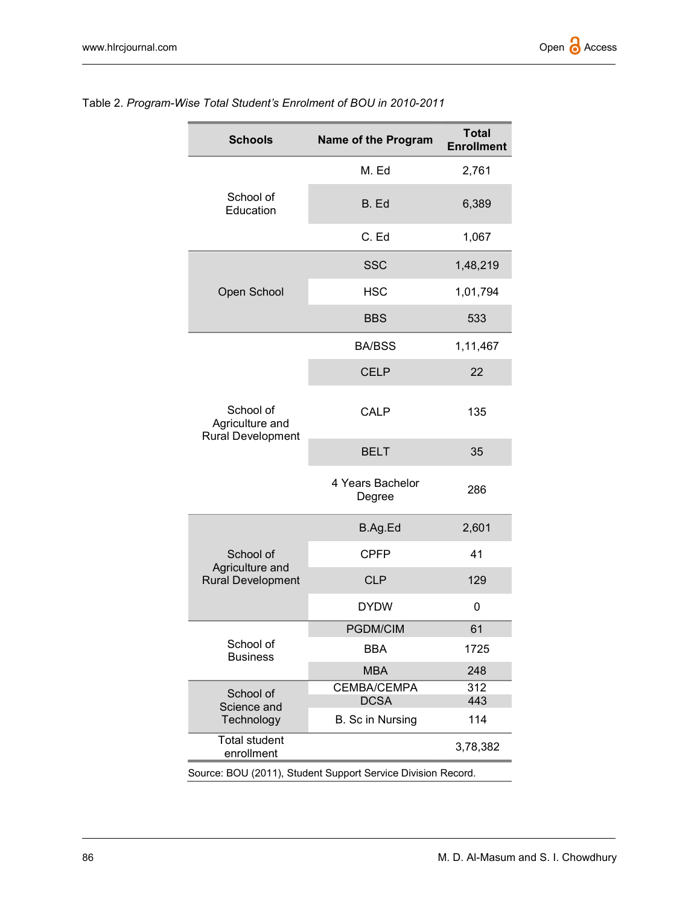| <b>Schools</b>                                           | Name of the Program             | <b>Total</b><br><b>Enrollment</b> |
|----------------------------------------------------------|---------------------------------|-----------------------------------|
|                                                          | M. Ed                           | 2,761                             |
| School of<br>Education                                   | B. Ed                           | 6,389                             |
|                                                          | C. Ed                           | 1,067                             |
|                                                          | <b>SSC</b>                      | 1,48,219                          |
| Open School                                              | <b>HSC</b>                      | 1,01,794                          |
|                                                          | <b>BBS</b>                      | 533                               |
|                                                          | <b>BA/BSS</b>                   | 1,11,467                          |
|                                                          | <b>CELP</b>                     | 22                                |
| School of<br>Agriculture and<br><b>Rural Development</b> | <b>CALP</b>                     | 135                               |
|                                                          | <b>BELT</b>                     | 35                                |
|                                                          | 4 Years Bachelor<br>Degree      | 286                               |
|                                                          | B.Ag.Ed                         | 2,601                             |
| School of                                                | <b>CPFP</b>                     | 41                                |
| Agriculture and<br><b>Rural Development</b>              | <b>CLP</b>                      | 129                               |
|                                                          | <b>DYDW</b>                     | 0                                 |
|                                                          | <b>PGDM/CIM</b>                 | 61                                |
| School of<br><b>Business</b>                             | BBA                             | 1725                              |
|                                                          | <b>MBA</b>                      | 248                               |
| School of                                                | CEMBA/CEMPA                     | 312                               |
| Science and<br>Technology                                | <b>DCSA</b><br>B. Sc in Nursing | 443<br>114                        |
| <b>Total student</b><br>3,78,382<br>enrollment           |                                 |                                   |

## Table 2. Program-Wise Total Student's Enrolment of BOU in 2010-2011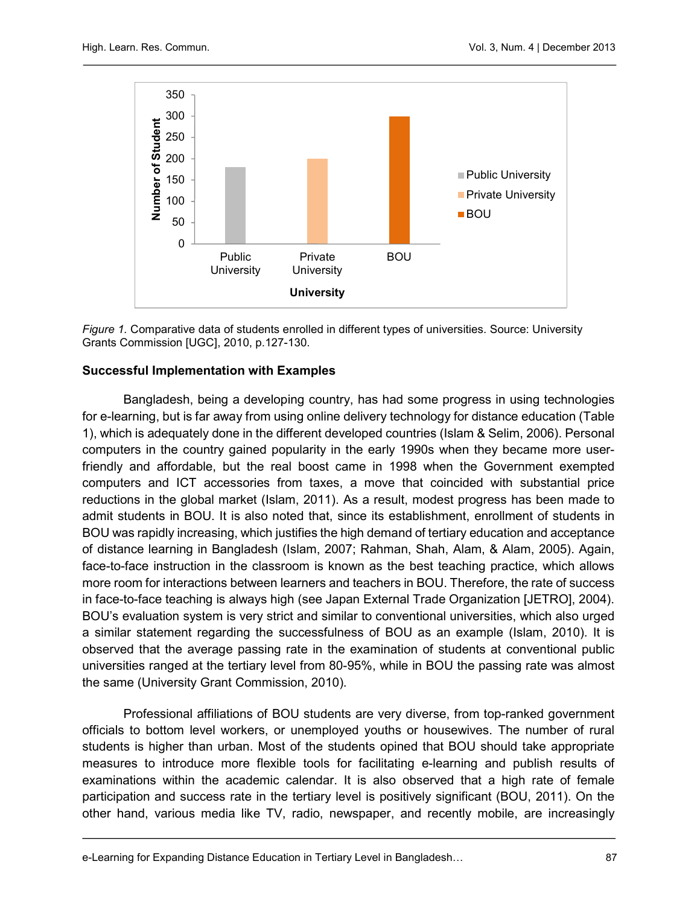

Figure 1. Comparative data of students enrolled in different types of universities. Source: University Grants Commission [UGC], 2010, p.127-130.

### Successful Implementation with Examples

Bangladesh, being a developing country, has had some progress in using technologies for e-learning, but is far away from using online delivery technology for distance education (Table 1), which is adequately done in the different developed countries (Islam & Selim, 2006). Personal computers in the country gained popularity in the early 1990s when they became more userfriendly and affordable, but the real boost came in 1998 when the Government exempted computers and ICT accessories from taxes, a move that coincided with substantial price reductions in the global market (Islam, 2011). As a result, modest progress has been made to admit students in BOU. It is also noted that, since its establishment, enrollment of students in BOU was rapidly increasing, which justifies the high demand of tertiary education and acceptance of distance learning in Bangladesh (Islam, 2007; Rahman, Shah, Alam, & Alam, 2005). Again, face-to-face instruction in the classroom is known as the best teaching practice, which allows more room for interactions between learners and teachers in BOU. Therefore, the rate of success in face-to-face teaching is always high (see Japan External Trade Organization [JETRO], 2004). BOU's evaluation system is very strict and similar to conventional universities, which also urged a similar statement regarding the successfulness of BOU as an example (Islam, 2010). It is observed that the average passing rate in the examination of students at conventional public universities ranged at the tertiary level from 80-95%, while in BOU the passing rate was almost the same (University Grant Commission, 2010).

Professional affiliations of BOU students are very diverse, from top-ranked government officials to bottom level workers, or unemployed youths or housewives. The number of rural students is higher than urban. Most of the students opined that BOU should take appropriate measures to introduce more flexible tools for facilitating e-learning and publish results of examinations within the academic calendar. It is also observed that a high rate of female participation and success rate in the tertiary level is positively significant (BOU, 2011). On the other hand, various media like TV, radio, newspaper, and recently mobile, are increasingly

e-Learning for Expanding Distance Education in Tertiary Level in Bangladesh… 87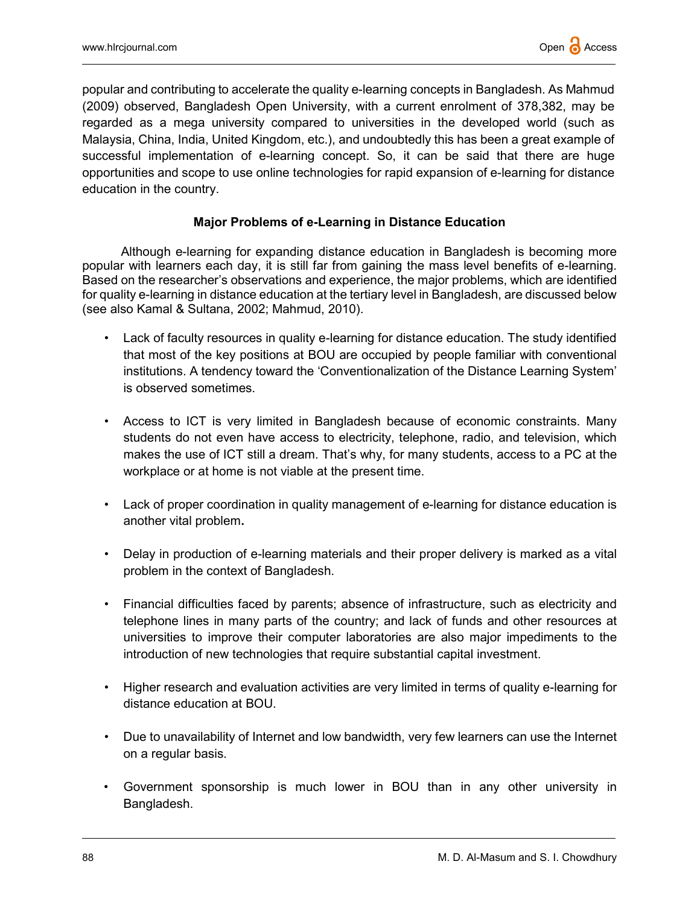popular and contributing to accelerate the quality e-learning concepts in Bangladesh. As Mahmud (2009) observed, Bangladesh Open University, with a current enrolment of 378,382, may be regarded as a mega university compared to universities in the developed world (such as Malaysia, China, India, United Kingdom, etc.), and undoubtedly this has been a great example of successful implementation of e-learning concept. So, it can be said that there are huge opportunities and scope to use online technologies for rapid expansion of e-learning for distance education in the country.

### Major Problems of e-Learning in Distance Education

Although e-learning for expanding distance education in Bangladesh is becoming more popular with learners each day, it is still far from gaining the mass level benefits of e-learning. Based on the researcher's observations and experience, the major problems, which are identified for quality e-learning in distance education at the tertiary level in Bangladesh, are discussed below (see also Kamal & Sultana, 2002; Mahmud, 2010).

- Lack of faculty resources in quality e-learning for distance education. The study identified that most of the key positions at BOU are occupied by people familiar with conventional institutions. A tendency toward the 'Conventionalization of the Distance Learning System' is observed sometimes.
- Access to ICT is very limited in Bangladesh because of economic constraints. Many students do not even have access to electricity, telephone, radio, and television, which makes the use of ICT still a dream. That's why, for many students, access to a PC at the workplace or at home is not viable at the present time.
- Lack of proper coordination in quality management of e-learning for distance education is another vital problem.
- Delay in production of e-learning materials and their proper delivery is marked as a vital problem in the context of Bangladesh.
- Financial difficulties faced by parents; absence of infrastructure, such as electricity and telephone lines in many parts of the country; and lack of funds and other resources at universities to improve their computer laboratories are also major impediments to the introduction of new technologies that require substantial capital investment.
- Higher research and evaluation activities are very limited in terms of quality e-learning for distance education at BOU.
- Due to unavailability of Internet and low bandwidth, very few learners can use the Internet on a regular basis.
- Government sponsorship is much lower in BOU than in any other university in Bangladesh.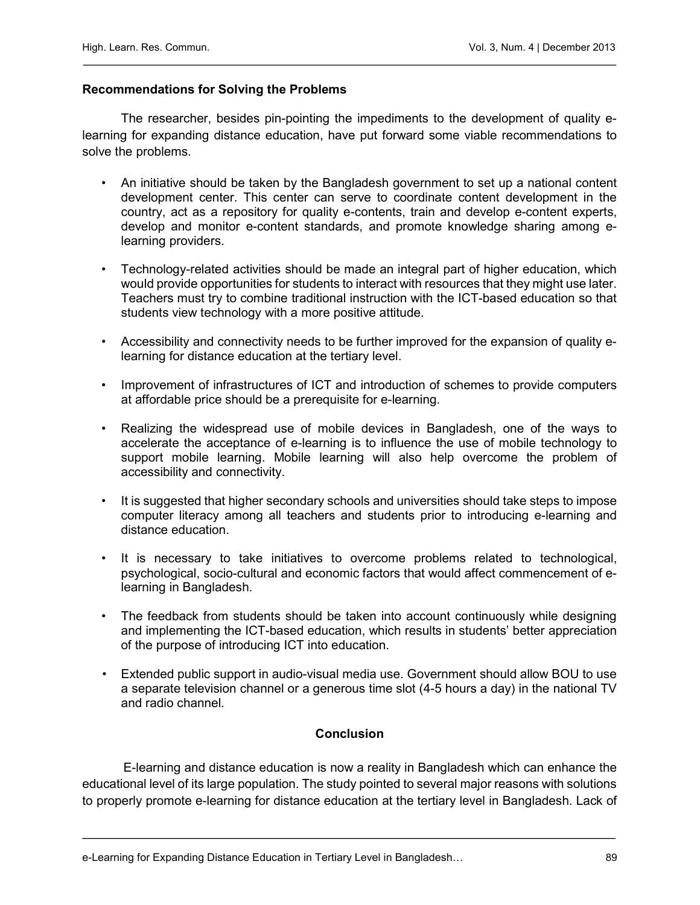#### Recommendations for Solving the Problems

The researcher, besides pin-pointing the impediments to the development of quality elearning for expanding distance education, have put forward some viable recommendations to solve the problems.

- An initiative should be taken by the Bangladesh government to set up a national content development center. This center can serve to coordinate content development in the country, act as a repository for quality e-contents, train and develop e-content experts, develop and monitor e-content standards, and promote knowledge sharing among elearning providers.
- Technology-related activities should be made an integral part of higher education, which would provide opportunities for students to interact with resources that they might use later. Teachers must try to combine traditional instruction with the ICT-based education so that students view technology with a more positive attitude.
- Accessibility and connectivity needs to be further improved for the expansion of quality elearning for distance education at the tertiary level.
- Improvement of infrastructures of ICT and introduction of schemes to provide computers at affordable price should be a prerequisite for e-learning.
- Realizing the widespread use of mobile devices in Bangladesh, one of the ways to accelerate the acceptance of e-learning is to influence the use of mobile technology to support mobile learning. Mobile learning will also help overcome the problem of accessibility and connectivity.
- It is suggested that higher secondary schools and universities should take steps to impose computer literacy among all teachers and students prior to introducing e-learning and distance education.
- It is necessary to take initiatives to overcome problems related to technological, psychological, socio-cultural and economic factors that would affect commencement of elearning in Bangladesh.
- The feedback from students should be taken into account continuously while designing and implementing the ICT-based education, which results in students' better appreciation of the purpose of introducing ICT into education.
- Extended public support in audio-visual media use. Government should allow BOU to use a separate television channel or a generous time slot (4-5 hours a day) in the national TV and radio channel.

### **Conclusion**

E-learning and distance education is now a reality in Bangladesh which can enhance the educational level of its large population. The study pointed to several major reasons with solutions to properly promote e-learning for distance education at the tertiary level in Bangladesh. Lack of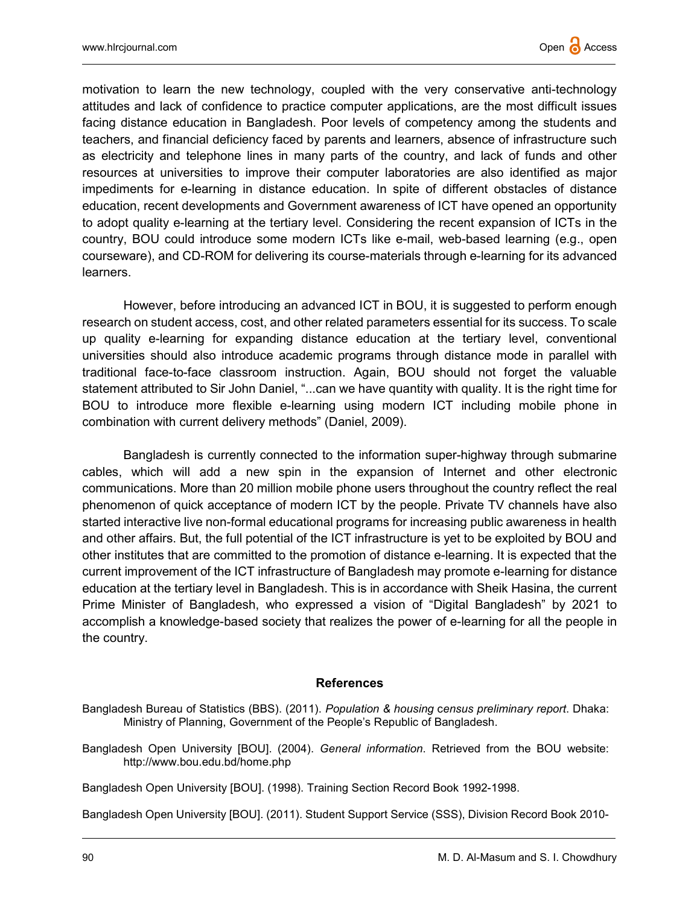motivation to learn the new technology, coupled with the very conservative anti-technology attitudes and lack of confidence to practice computer applications, are the most difficult issues facing distance education in Bangladesh. Poor levels of competency among the students and teachers, and financial deficiency faced by parents and learners, absence of infrastructure such as electricity and telephone lines in many parts of the country, and lack of funds and other resources at universities to improve their computer laboratories are also identified as major impediments for e-learning in distance education. In spite of different obstacles of distance education, recent developments and Government awareness of ICT have opened an opportunity to adopt quality e-learning at the tertiary level. Considering the recent expansion of ICTs in the country, BOU could introduce some modern ICTs like e-mail, web-based learning (e.g., open courseware), and CD-ROM for delivering its course-materials through e-learning for its advanced learners.

However, before introducing an advanced ICT in BOU, it is suggested to perform enough research on student access, cost, and other related parameters essential for its success. To scale up quality e-learning for expanding distance education at the tertiary level, conventional universities should also introduce academic programs through distance mode in parallel with traditional face-to-face classroom instruction. Again, BOU should not forget the valuable statement attributed to Sir John Daniel, "...can we have quantity with quality. It is the right time for BOU to introduce more flexible e-learning using modern ICT including mobile phone in combination with current delivery methods" (Daniel, 2009).

Bangladesh is currently connected to the information super-highway through submarine cables, which will add a new spin in the expansion of Internet and other electronic communications. More than 20 million mobile phone users throughout the country reflect the real phenomenon of quick acceptance of modern ICT by the people. Private TV channels have also started interactive live non-formal educational programs for increasing public awareness in health and other affairs. But, the full potential of the ICT infrastructure is yet to be exploited by BOU and other institutes that are committed to the promotion of distance e-learning. It is expected that the current improvement of the ICT infrastructure of Bangladesh may promote e-learning for distance education at the tertiary level in Bangladesh. This is in accordance with Sheik Hasina, the current Prime Minister of Bangladesh, who expressed a vision of "Digital Bangladesh" by 2021 to accomplish a knowledge-based society that realizes the power of e-learning for all the people in the country.

#### References

Bangladesh Bureau of Statistics (BBS). (2011). Population & housing census preliminary report. Dhaka: Ministry of Planning, Government of the People's Republic of Bangladesh.

Bangladesh Open University [BOU]. (2004). General information. Retrieved from the BOU website: http://www.bou.edu.bd/home.php

Bangladesh Open University [BOU]. (1998). Training Section Record Book 1992-1998.

Bangladesh Open University [BOU]. (2011). Student Support Service (SSS), Division Record Book 2010-